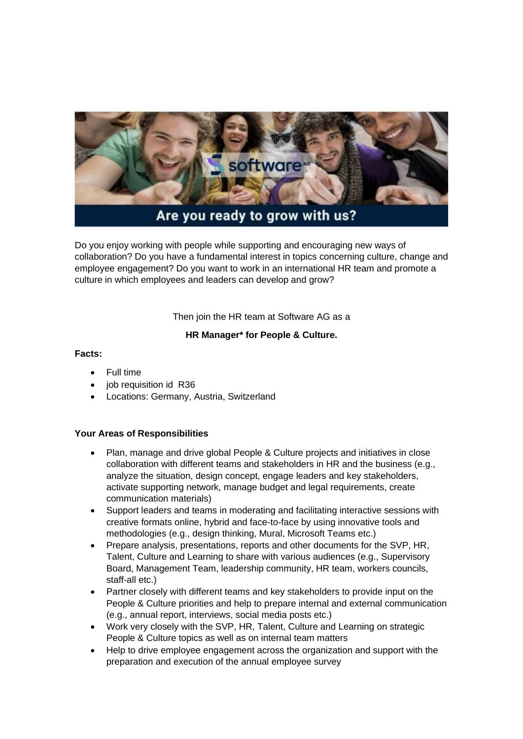

Do you enjoy working with people while supporting and encouraging new ways of collaboration? Do you have a fundamental interest in topics concerning culture, change and employee engagement? Do you want to work in an international HR team and promote a culture in which employees and leaders can develop and grow?

Then join the HR team at Software AG as a

# **HR Manager\* for People & Culture.**

### **Facts:**

- Full time
- iob requisition id R36
- Locations: Germany, Austria, Switzerland

# **Your Areas of Responsibilities**

- Plan, manage and drive global People & Culture projects and initiatives in close collaboration with different teams and stakeholders in HR and the business (e.g., analyze the situation, design concept, engage leaders and key stakeholders, activate supporting network, manage budget and legal requirements, create communication materials)
- Support leaders and teams in moderating and facilitating interactive sessions with creative formats online, hybrid and face-to-face by using innovative tools and methodologies (e.g., design thinking, Mural, Microsoft Teams etc.)
- Prepare analysis, presentations, reports and other documents for the SVP, HR, Talent, Culture and Learning to share with various audiences (e.g., Supervisory Board, Management Team, leadership community, HR team, workers councils, staff-all etc.)
- Partner closely with different teams and key stakeholders to provide input on the People & Culture priorities and help to prepare internal and external communication (e.g., annual report, interviews, social media posts etc.)
- Work very closely with the SVP, HR, Talent, Culture and Learning on strategic People & Culture topics as well as on internal team matters
- Help to drive employee engagement across the organization and support with the preparation and execution of the annual employee survey